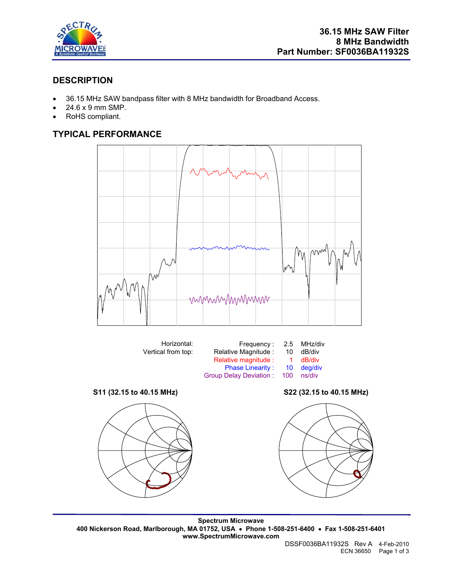

# **DESCRIPTION**

- 36.15 MHz SAW bandpass filter with 8 MHz bandwidth for Broadband Access.
- 24.6 x 9 mm SMP.
- RoHS compliant.

# **TYPICAL PERFORMANCE**





**Spectrum Microwave 400 Nickerson Road, Marlborough, MA 01752, USA** • **Phone 1-508-251-6400** • **Fax 1-508-251-6401 www.SpectrumMicrowave.com** 

DSSF0036BA11932S Rev A 4-Feb-2010 ECN 36650 Page 1 of 3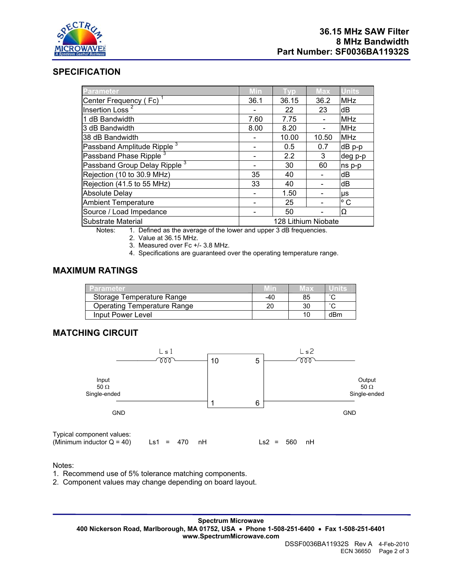

## **SPECIFICATION**

| Parameter                                | Min                 | Tvp   | <b>Max</b> | <b>Units</b> |
|------------------------------------------|---------------------|-------|------------|--------------|
| Center Frequency (Fc)                    | 36.1                | 36.15 | 36.2       | <b>MHz</b>   |
| Insertion Loss <sup>2</sup>              |                     | 22    | 23         | dB           |
| 1 dB Bandwidth                           | 7.60                | 7.75  |            | <b>MHz</b>   |
| 3 dB Bandwidth                           | 8.00                | 8.20  |            | <b>MHz</b>   |
| 38 dB Bandwidth                          |                     | 10.00 | 10.50      | <b>MHz</b>   |
| Passband Amplitude Ripple <sup>3</sup>   |                     | 0.5   | 0.7        | dB p-p       |
| Passband Phase Ripple <sup>3</sup>       |                     | 2.2   | 3          | deg p-p      |
| Passband Group Delay Ripple <sup>3</sup> |                     | 30    | 60         | ns p-p       |
| Rejection (10 to 30.9 MHz)               | 35                  | 40    |            | dВ           |
| Rejection (41.5 to 55 MHz)               | 33                  | 40    |            | dB           |
| Absolute Delay                           |                     | 1.50  |            | μs           |
| <b>Ambient Temperature</b>               |                     | 25    |            | $^{\circ}$ C |
| Source / Load Impedance                  |                     | 50    |            | Ω            |
| Substrate Material                       | 128 Lithium Niobate |       |            |              |

Notes: 1. Defined as the average of the lower and upper 3 dB frequencies.

2. Value at 36.15 MHz.

3. Measured over Fc +/- 3.8 MHz.

4. Specifications are guaranteed over the operating temperature range.

## **MAXIMUM RATINGS**

| Parameter                   | Min | иах |        |
|-----------------------------|-----|-----|--------|
| Storage Temperature Range   | -40 | 85  | $\sim$ |
| Operating Temperature Range | 20  |     | $\sim$ |
| Input Power Level           |     |     | dBm    |

## **MATCHING CIRCUIT**



#### Notes:

1. Recommend use of 5% tolerance matching components.

2. Component values may change depending on board layout.

**Spectrum Microwave 400 Nickerson Road, Marlborough, MA 01752, USA** • **Phone 1-508-251-6400** • **Fax 1-508-251-6401 www.SpectrumMicrowave.com**